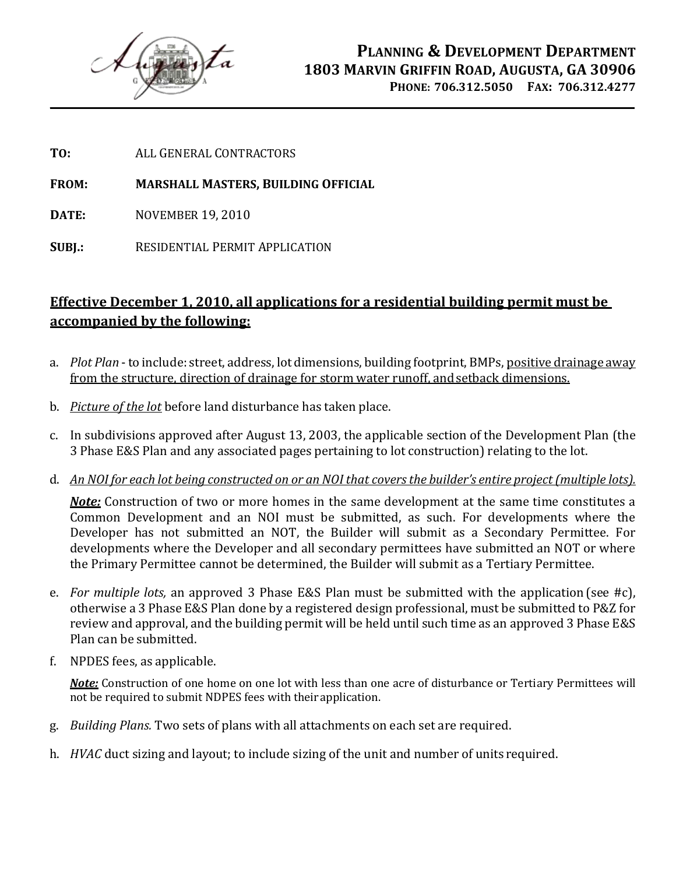

**TO:** ALL GENERAL CONTRACTORS

**FROM: MARSHALL MASTERS, BUILDING OFFICIAL**

**DATE:** NOVEMBER 19, 2010

**SUBJ.:** RESIDENTIAL PERMIT APPLICATION

### **Effective December 1, 2010, all applications for a residential building permit must be accompanied by the following:**

- a. *Plot Plan* to include: street, address, lot dimensions, building footprint, BMPs, positive drainage away from the structure, direction of drainage for storm water runoff, andsetback dimensions.
- b. *Picture of the lot* before land disturbance has taken place.
- c. In subdivisions approved after August 13, 2003, the applicable section of the Development Plan (the 3 Phase E&S Plan and any associated pages pertaining to lot construction) relating to the lot.
- d. *An NOI for each lot being constructed on or an NOI that covers the builder's entire project (multiple lots).*

*Note:* Construction of two or more homes in the same development at the same time constitutes a Common Development and an NOI must be submitted, as such. For developments where the Developer has not submitted an NOT, the Builder will submit as a Secondary Permittee. For developments where the Developer and all secondary permittees have submitted an NOT or where the Primary Permittee cannot be determined, the Builder will submit as a Tertiary Permittee.

- e. *For multiple lots,* an approved 3 Phase E&S Plan must be submitted with the application (see #c), otherwise a 3 Phase E&S Plan done by a registered design professional, must be submitted to P&Z for review and approval, and the building permit will be held until such time as an approved 3 Phase E&S Plan can be submitted.
- f. NPDES fees, as applicable.

*Note:* Construction of one home on one lot with less than one acre of disturbance or Tertiary Permittees will not be required to submit NDPES fees with theirapplication.

- g. *Building Plans.* Two sets of plans with all attachments on each set are required.
- h. *HVAC* duct sizing and layout; to include sizing of the unit and number of units required.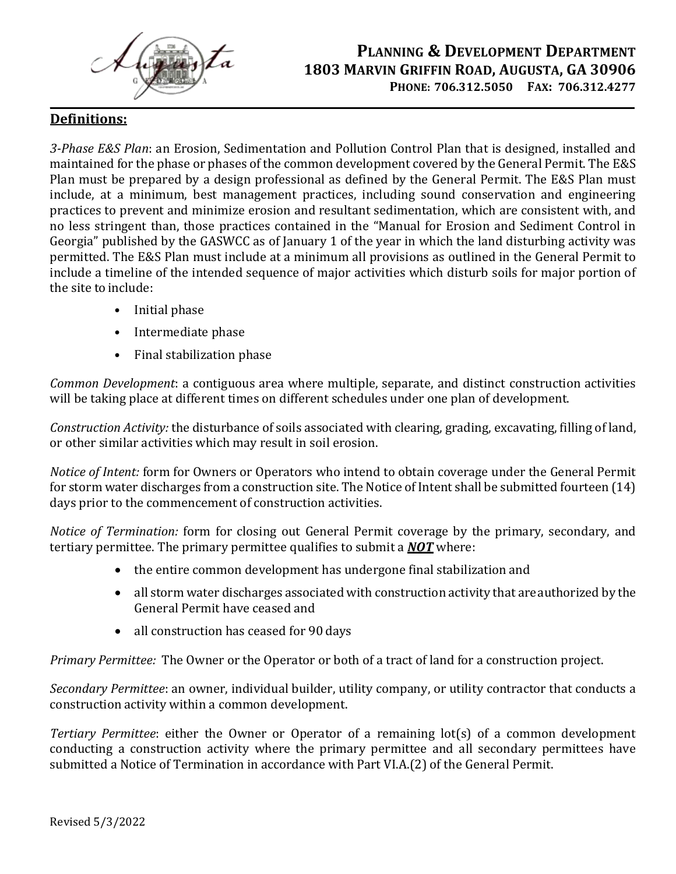

### **PLANNING & DEVELOPMENT DEPARTMENT 1803 MARVIN GRIFFIN ROAD, AUGUSTA, GA 30906 PHONE: 706.312.5050 FAX: 706.312.4277**

#### **Definitions:**

*3-Phase E&S Plan*: an Erosion, Sedimentation and Pollution Control Plan that is designed, installed and maintained for the phase or phases of the common development covered by the General Permit. The E&S Plan must be prepared by a design professional as defined by the General Permit. The E&S Plan must include, at a minimum, best management practices, including sound conservation and engineering practices to prevent and minimize erosion and resultant sedimentation, which are consistent with, and no less stringent than, those practices contained in the "Manual for Erosion and Sediment Control in Georgia" published by the GASWCC as of January 1 of the year in which the land disturbing activity was permitted. The E&S Plan must include at a minimum all provisions as outlined in the General Permit to include a timeline of the intended sequence of major activities which disturb soils for major portion of the site to include:

- Initial phase
- Intermediate phase
- Final stabilization phase

*Common Development*: a contiguous area where multiple, separate, and distinct construction activities will be taking place at different times on different schedules under one plan of development.

*Construction Activity:* the disturbance of soils associated with clearing, grading, excavating, filling of land, or other similar activities which may result in soil erosion.

*Notice of Intent:* form for Owners or Operators who intend to obtain coverage under the General Permit for storm water discharges from a construction site. The Notice of Intent shall be submitted fourteen (14) days prior to the commencement of construction activities.

*Notice of Termination:* form for closing out General Permit coverage by the primary, secondary, and tertiary permittee. The primary permittee qualifies to submit a *NOT* where:

- the entire common development has undergone final stabilization and
- all storm water discharges associated with construction activity that are authorized by the General Permit have ceased and
- all construction has ceased for 90 days

*Primary Permittee:* The Owner or the Operator or both of a tract of land for a construction project.

*Secondary Permittee*: an owner, individual builder, utility company, or utility contractor that conducts a construction activity within a common development.

*Tertiary Permittee*: either the Owner or Operator of a remaining lot(s) of a common development conducting a construction activity where the primary permittee and all secondary permittees have submitted a Notice of Termination in accordance with Part VI.A.(2) of the General Permit.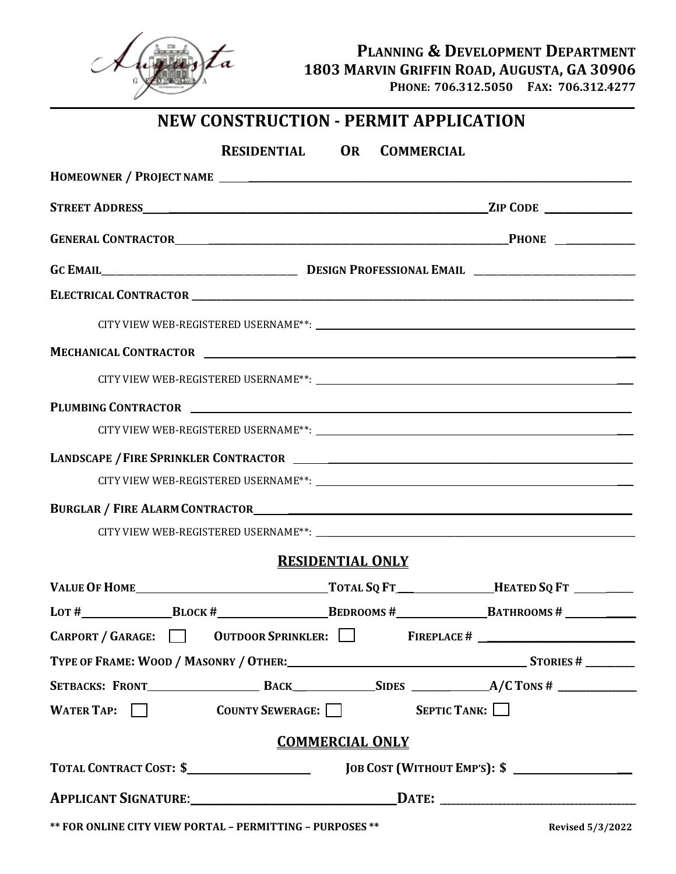

#### **PLANNING & DEVELOPMENT DEPARTMENT 1803 MARVIN GRIFFIN ROAD, AUGUSTA, GA 30906 PHONE: 706.312.5050 FAX: 706.312.4277**

# **NEW CONSTRUCTION - PERMIT APPLICATION**

| RESIDENTIAL OR COMMERCIAL                                                                                     |                        |
|---------------------------------------------------------------------------------------------------------------|------------------------|
|                                                                                                               |                        |
|                                                                                                               |                        |
|                                                                                                               |                        |
|                                                                                                               |                        |
|                                                                                                               |                        |
|                                                                                                               |                        |
|                                                                                                               |                        |
|                                                                                                               |                        |
|                                                                                                               |                        |
|                                                                                                               |                        |
|                                                                                                               |                        |
|                                                                                                               |                        |
|                                                                                                               |                        |
|                                                                                                               |                        |
| <b>RESIDENTIAL ONLY</b>                                                                                       |                        |
|                                                                                                               |                        |
| LOT # $\_\_\_\_\_$ BLOCK # $\_\_\_\_\_$ BEDROOMS # $\_\_\_\_\_$ BATHROOMS # $\_\_\_\_\_\_$                    |                        |
| CARPORT / GARAGE: 0 OUTDOOR SPRINKLER: FIREPLACE # _______                                                    |                        |
| TYPE OF FRAME: WOOD / MASONRY / OTHER: STORIES # STORIES # ______________________                             |                        |
|                                                                                                               |                        |
| WATER TAP: COUNTY SEWERAGE:                                                                                   | $S$ EPTIC TANK: $\Box$ |
| <b>COMMERCIAL ONLY</b>                                                                                        |                        |
|                                                                                                               |                        |
| APPLICANT SIGNATURE: DATE: DATE: 2000 DATE: 2000 DATE: 2000 DATE: 2000 DATE: 2000 DATE: 2000 DATE: 2000 DATE: |                        |
| $*$ FOR OUT BIE CURVATELY BOREAT <b>DEDICATION</b> DURBOCEC <sup>**</sup>                                     |                        |

**\*\* FOR ONLINE CITY VIEW PORTAL – PERMITTING – PURPOSES \*\* Revised 5/3/2022**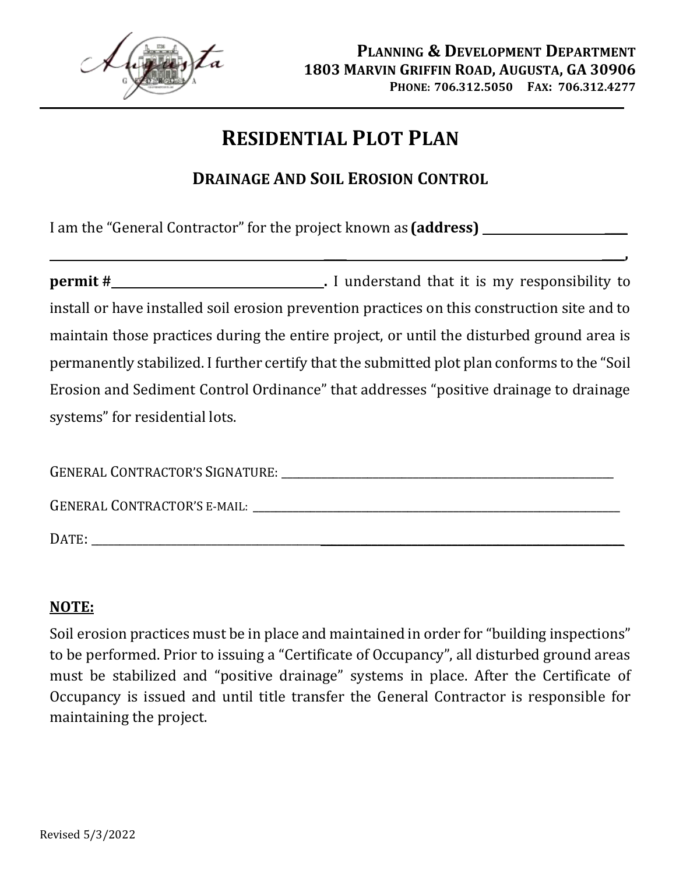

**\_\_\_\_ \_\_\_\_,** 

# **RESIDENTIAL PLOT PLAN**

## **DRAINAGE AND SOIL EROSION CONTROL**

I am the "General Contractor" for the project known as **(address) \_\_\_\_**

**permit # .** I understand that it is my responsibility to install or have installed soil erosion prevention practices on this construction site and to maintain those practices during the entire project, or until the disturbed ground area is permanently stabilized. I further certify that the submitted plot plan conforms to the "Soil Erosion and Sediment Control Ordinance" that addresses "positive drainage to drainage systems" for residential lots.

| <b>GENERAL CONTRACTOR'S SIGNATURE:</b> |  |
|----------------------------------------|--|
| <b>GENERAL CONTRACTOR'S E-MAIL:</b>    |  |
| DATE:                                  |  |

### **NOTE:**

Soil erosion practices must be in place and maintained in order for "building inspections" to be performed. Prior to issuing a "Certificate of Occupancy", all disturbed ground areas must be stabilized and "positive drainage" systems in place. After the Certificate of Occupancy is issued and until title transfer the General Contractor is responsible for maintaining the project.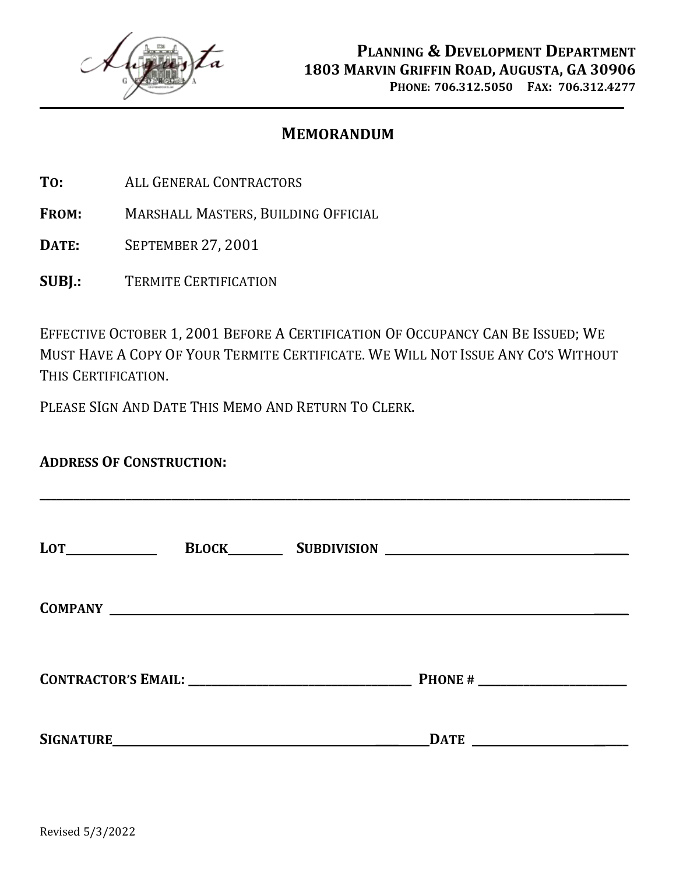

#### **MEMORANDUM**

- **TO:** ALL GENERAL CONTRACTORS
- **FROM:** MARSHALL MASTERS, BUILDING OFFICIAL
- **DATE:** SEPTEMBER 27, 2001
- **SUBJ.:** TERMITE CERTIFICATION

EFFECTIVE OCTOBER 1, 2001 BEFORE A CERTIFICATION OF OCCUPANCY CAN BE ISSUED; WE MUST HAVE A COPY OF YOUR TERMITE CERTIFICATE. WE WILL NOT ISSUE ANY CO'S WITHOUT THIS CERTIFICATION.

PLEASE SIGN AND DATE THIS MEMO AND RETURN TO CLERK.

| <b>ADDRESS OF CONSTRUCTION:</b> |                      |  |
|---------------------------------|----------------------|--|
|                                 |                      |  |
|                                 |                      |  |
|                                 |                      |  |
|                                 | $\sqrt{\text{DATE}}$ |  |